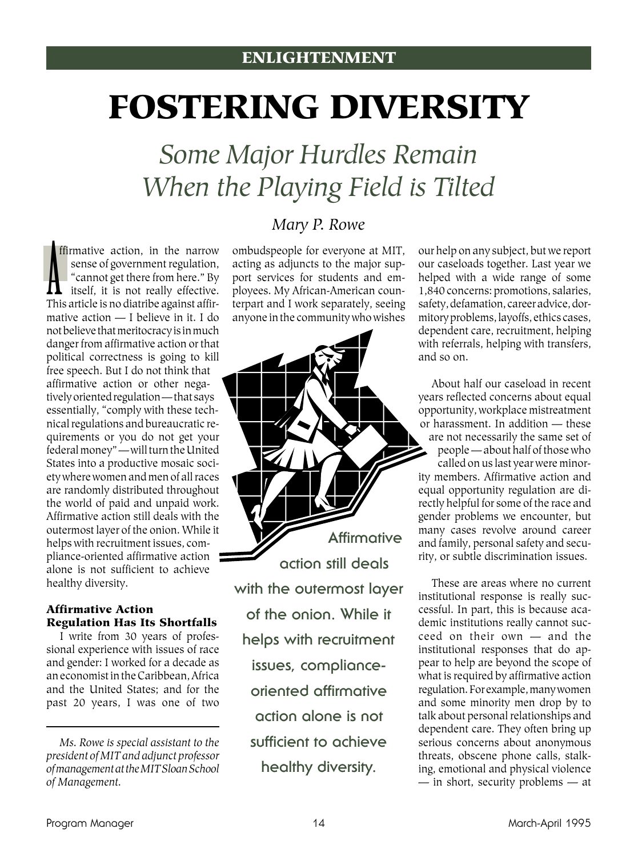# FOSTERING DIVERSITY

## *Some Major Hurdles Remain When the Playing Field is Tilted*

ffirmative action, in the narrow<br>sense of government regulation,<br>"cannot get there from here." By<br>itself, it is not really effective.<br>This article is no diatribe against affirffirmative action, in the narrow sense of government regulation, "cannot get there from here." By This article is no diatribe against affirmative action — I believe in it. I do not believe that meritocracy is in much danger from affirmative action or that political correctness is going to kill free speech. But I do not think that affirmative action or other negatively oriented regulation — that says essentially, "comply with these technical regulations and bureaucratic requirements or you do not get your federal money" — will turn the United States into a productive mosaic society where women and men of all races are randomly distributed throughout the world of paid and unpaid work. Affirmative action still deals with the outermost layer of the onion. While it helps with recruitment issues, compliance-oriented affirmative action alone is not sufficient to achieve healthy diversity.

#### Affirmative Action Regulation Has Its Shortfalls

I write from 30 years of professional experience with issues of race and gender: I worked for a decade as an economist in the Caribbean, Africa and the United States; and for the past 20 years, I was one of two

### *Mary P. Rowe*

ombudspeople for everyone at MIT, acting as adjuncts to the major support services for students and employees. My African-American counterpart and I work separately, seeing anyone in the community who wishes



our help on any subject, but we report our caseloads together. Last year we helped with a wide range of some 1,840 concerns: promotions, salaries, safety, defamation, career advice, dormitory problems, layoffs, ethics cases, dependent care, recruitment, helping with referrals, helping with transfers, and so on.

About half our caseload in recent years reflected concerns about equal opportunity, workplace mistreatment or harassment. In addition — these are not necessarily the same set of people — about half of those who called on us last year were minority members. Affirmative action and equal opportunity regulation are directly helpful for some of the race and gender problems we encounter, but many cases revolve around career and family, personal safety and security, or subtle discrimination issues.

These are areas where no current institutional response is really successful. In part, this is because academic institutions really cannot succeed on their own — and the institutional responses that do appear to help are beyond the scope of what is required by affirmative action regulation. For example, many women and some minority men drop by to talk about personal relationships and dependent care. They often bring up serious concerns about anonymous threats, obscene phone calls, stalking, emotional and physical violence — in short, security problems — at

*Ms. Rowe is special assistant to the president of MIT and adjunct professor of management at the MIT Sloan School of Management.*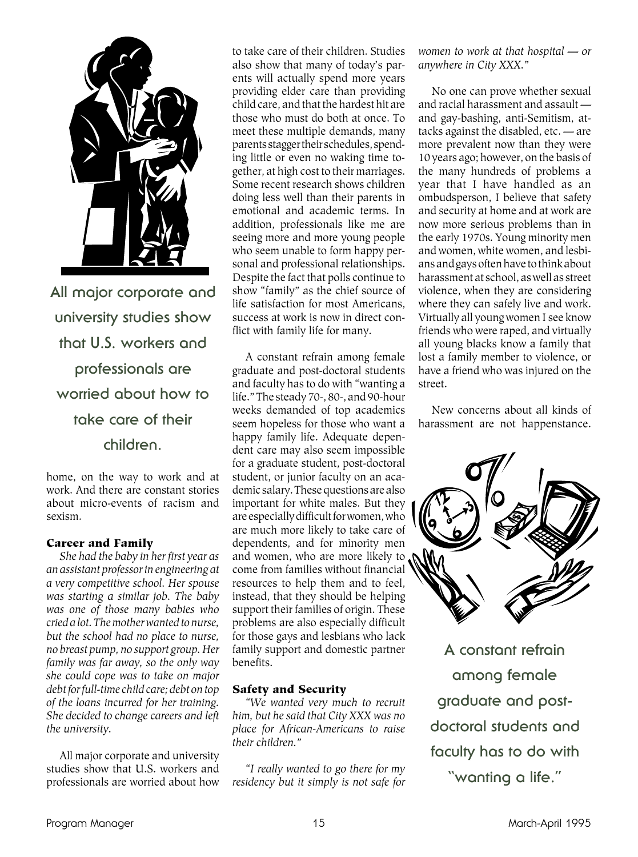

**All major corporate and university studies show that U.S. workers and professionals are worried about how to take care of their children.**

home, on the way to work and at work. And there are constant stories about micro-events of racism and sexism.

#### Career and Family

*She had the baby in her first year as an assistant professor in engineering at a very competitive school. Her spouse was starting a similar job. The baby was one of those many babies who cried a lot. The mother wanted to nurse, but the school had no place to nurse, no breast pump, no support group. Her family was far away, so the only way she could cope was to take on major debt for full-time child care; debt on top of the loans incurred for her training. She decided to change careers and left the university.*

All major corporate and university studies show that U.S. workers and professionals are worried about how to take care of their children. Studies also show that many of today's parents will actually spend more years providing elder care than providing child care, and that the hardest hit are those who must do both at once. To meet these multiple demands, many parents stagger their schedules, spending little or even no waking time together, at high cost to their marriages. Some recent research shows children doing less well than their parents in emotional and academic terms. In addition, professionals like me are seeing more and more young people who seem unable to form happy personal and professional relationships. Despite the fact that polls continue to show "family" as the chief source of life satisfaction for most Americans, success at work is now in direct conflict with family life for many.

A constant refrain among female graduate and post-doctoral students and faculty has to do with "wanting a life." The steady 70-, 80-, and 90-hour weeks demanded of top academics seem hopeless for those who want a happy family life. Adequate dependent care may also seem impossible for a graduate student, post-doctoral student, or junior faculty on an academic salary. These questions are also important for white males. But they are especially difficult for women, who are much more likely to take care of dependents, and for minority men and women, who are more likely to  $\mathbb{M}$ come from families without financial resources to help them and to feel, instead, that they should be helping support their families of origin. These problems are also especially difficult for those gays and lesbians who lack family support and domestic partner benefits.

#### Safety and Security

*"We wanted very much to recruit him, but he said that City XXX was no place for African-Americans to raise their children."*

*"I really wanted to go there for my residency but it simply is not safe for*

*women to work at that hospital — or anywhere in City XXX."*

No one can prove whether sexual and racial harassment and assault and gay-bashing, anti-Semitism, attacks against the disabled, etc. — are more prevalent now than they were 10 years ago; however, on the basis of the many hundreds of problems a year that I have handled as an ombudsperson, I believe that safety and security at home and at work are now more serious problems than in the early 1970s. Young minority men and women, white women, and lesbians and gays often have to think about harassment at school, as well as street violence, when they are considering where they can safely live and work. Virtually all young women I see know friends who were raped, and virtually all young blacks know a family that lost a family member to violence, or have a friend who was injured on the street.

New concerns about all kinds of harassment are not happenstance.



**A constant refrain among female graduate and postdoctoral students and faculty has to do with "wanting a life."**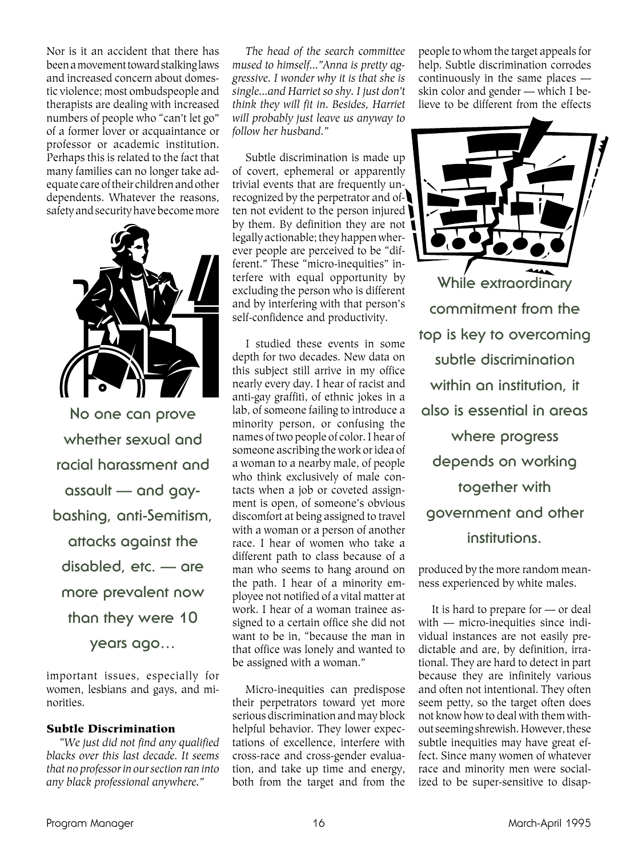Nor is it an accident that there has been a movement toward stalking laws and increased concern about domestic violence; most ombudspeople and therapists are dealing with increased numbers of people who "can't let go" of a former lover or acquaintance or professor or academic institution. Perhaps this is related to the fact that many families can no longer take adequate care of their children and other dependents. Whatever the reasons, safety and security have become more



**No one can prove whether sexual and racial harassment and assault — and gaybashing, anti-Semitism, attacks against the disabled, etc. — are more prevalent now than they were 10 years ago…**

important issues, especially for women, lesbians and gays, and minorities.

#### Subtle Discrimination

*"We just did not find any qualified blacks over this last decade. It seems that no professor in our section ran into any black professional anywhere."*

*The head of the search committee mused to himself..."Anna is pretty aggressive. I wonder why it is that she is single...and Harriet so shy. I just don't think they will fit in. Besides, Harriet will probably just leave us anyway to follow her husband."*

Subtle discrimination is made up of covert, ephemeral or apparently trivial events that are frequently unrecognized by the perpetrator and often not evident to the person injured by them. By definition they are not legally actionable; they happen wherever people are perceived to be "different." These "micro-inequities" interfere with equal opportunity by excluding the person who is different and by interfering with that person's self-confidence and productivity.

I studied these events in some depth for two decades. New data on this subject still arrive in my office nearly every day. I hear of racist and anti-gay graffiti, of ethnic jokes in a lab, of someone failing to introduce a minority person, or confusing the names of two people of color. I hear of someone ascribing the work or idea of a woman to a nearby male, of people who think exclusively of male contacts when a job or coveted assignment is open, of someone's obvious discomfort at being assigned to travel with a woman or a person of another race. I hear of women who take a different path to class because of a man who seems to hang around on the path. I hear of a minority employee not notified of a vital matter at work. I hear of a woman trainee assigned to a certain office she did not want to be in, "because the man in that office was lonely and wanted to be assigned with a woman."

Micro-inequities can predispose their perpetrators toward yet more serious discrimination and may block helpful behavior. They lower expectations of excellence, interfere with cross-race and cross-gender evaluation, and take up time and energy, both from the target and from the

people to whom the target appeals for help. Subtle discrimination corrodes continuously in the same places skin color and gender — which I believe to be different from the effects



produced by the more random meanness experienced by white males.

It is hard to prepare for — or deal with — micro-inequities since individual instances are not easily predictable and are, by definition, irrational. They are hard to detect in part because they are infinitely various and often not intentional. They often seem petty, so the target often does not know how to deal with them without seeming shrewish. However, these subtle inequities may have great effect. Since many women of whatever race and minority men were socialized to be super-sensitive to disap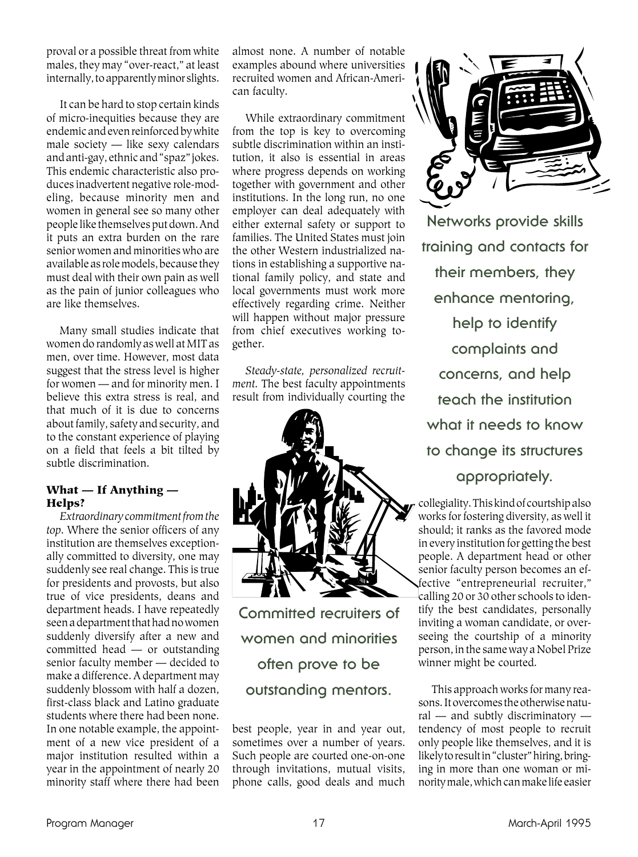proval or a possible threat from white males, they may "over-react," at least internally, to apparently minor slights.

It can be hard to stop certain kinds of micro-inequities because they are endemic and even reinforced by white male society — like sexy calendars and anti-gay, ethnic and "spaz" jokes. This endemic characteristic also produces inadvertent negative role-modeling, because minority men and women in general see so many other people like themselves put down. And it puts an extra burden on the rare senior women and minorities who are available as role models, because they must deal with their own pain as well as the pain of junior colleagues who are like themselves.

Many small studies indicate that women do randomly as well at MIT as men, over time. However, most data suggest that the stress level is higher for women — and for minority men. I believe this extra stress is real, and that much of it is due to concerns about family, safety and security, and to the constant experience of playing on a field that feels a bit tilted by subtle discrimination.

#### What — If Anything — Helps?

*Extraordinary commitment from the top.* Where the senior officers of any institution are themselves exceptionally committed to diversity, one may suddenly see real change. This is true for presidents and provosts, but also true of vice presidents, deans and department heads. I have repeatedly seen a department that had no women suddenly diversify after a new and committed head — or outstanding senior faculty member — decided to make a difference. A department may suddenly blossom with half a dozen, first-class black and Latino graduate students where there had been none. In one notable example, the appointment of a new vice president of a major institution resulted within a year in the appointment of nearly 20 minority staff where there had been

almost none. A number of notable examples abound where universities recruited women and African-American faculty.

While extraordinary commitment from the top is key to overcoming subtle discrimination within an institution, it also is essential in areas where progress depends on working together with government and other institutions. In the long run, no one employer can deal adequately with either external safety or support to families. The United States must join the other Western industrialized nations in establishing a supportive national family policy, and state and local governments must work more effectively regarding crime. Neither will happen without major pressure from chief executives working together.

*Steady-state, personalized recruitment.* The best faculty appointments result from individually courting the



**Committed recruiters of women and minorities often prove to be outstanding mentors.**

best people, year in and year out, sometimes over a number of years. Such people are courted one-on-one through invitations, mutual visits, phone calls, good deals and much



**Networks provide skills training and contacts for their members, they enhance mentoring, help to identify complaints and concerns, and help teach the institution what it needs to know to change its structures appropriately.**

collegiality. This kind of courtship also works for fostering diversity, as well it should; it ranks as the favored mode in every institution for getting the best people. A department head or other senior faculty person becomes an effective "entrepreneurial recruiter," calling 20 or 30 other schools to identify the best candidates, personally inviting a woman candidate, or overseeing the courtship of a minority person, in the same way a Nobel Prize winner might be courted.

This approach works for many reasons. It overcomes the otherwise natural — and subtly discriminatory tendency of most people to recruit only people like themselves, and it is likely to result in "cluster" hiring, bringing in more than one woman or minority male, which can make life easier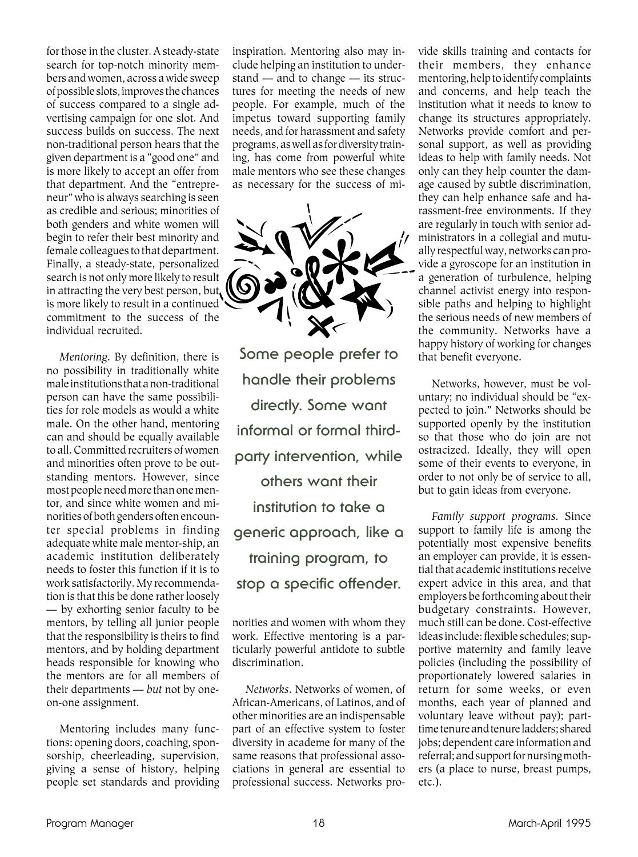for those in the cluster. A steady-state search for top-notch minority members and women, across a wide sweep of possible slots, improves the chances of success compared to a single advertising campaign for one slot. And success builds on success. The next non-traditional person hears that the given department is a "good one" and is more likely to accept an offer from that department. And the "entrepreneur" who is always searching is seen as credible and serious; minorities of both genders and white women will begin to refer their best minority and female colleagues to that department. Finally, a steady-state, personalized search is not only more likely to result in attracting the very best person, but is more likely to result in a continued commitment to the success of the individual recruited.

*Mentoring*. By definition, there is no possibility in traditionally white male institutions that a non-traditional person can have the same possibilities for role models as would a white male. On the other hand, mentoring can and should be equally available to all. Committed recruiters of women and minorities often prove to be outstanding mentors. However, since most people need more than one mentor, and since white women and minorities of both genders often encounter special problems in finding adequate white male mentor-ship, an academic institution deliberately needs to foster this function if it is to work satisfactorily. My recommendation is that this be done rather loosely — by exhorting senior faculty to be mentors, by telling all junior people that the responsibility is theirs to find mentors, and by holding department heads responsible for knowing who the mentors are for all members of their departments — *but* not by oneon-one assignment.

Mentoring includes many functions: opening doors, coaching, sponsorship, cheerleading, supervision, giving a sense of history, helping people set standards and providing inspiration. Mentoring also may include helping an institution to understand — and to change — its structures for meeting the needs of new people. For example, much of the impetus toward supporting family needs, and for harassment and safety programs, as well as for diversity training, has come from powerful white male mentors who see these changes as necessary for the success of mi-



**Some people prefer to handle their problems directly. Some want informal or formal thirdparty intervention, while others want their institution to take a generic approach, like a training program, to stop a specific offender.**

norities and women with whom they work. Effective mentoring is a particularly powerful antidote to subtle discrimination.

*Networks*. Networks of women, of African-Americans, of Latinos, and of other minorities are an indispensable part of an effective system to foster diversity in academe for many of the same reasons that professional associations in general are essential to professional success. Networks pro-

vide skills training and contacts for their members, they enhance mentoring, help to identify complaints and concerns, and help teach the institution what it needs to know to change its structures appropriately. Networks provide comfort and personal support, as well as providing ideas to help with family needs. Not only can they help counter the damage caused by subtle discrimination, they can help enhance safe and harassment-free environments. If they are regularly in touch with senior administrators in a collegial and mutually respectful way, networks can provide a gyroscope for an institution in a generation of turbulence, helping channel activist energy into responsible paths and helping to highlight the serious needs of new members of the community. Networks have a happy history of working for changes that benefit everyone.

Networks, however, must be voluntary; no individual should be "expected to join." Networks should be supported openly by the institution so that those who do join are not ostracized. Ideally, they will open some of their events to everyone, in order to not only be of service to all, but to gain ideas from everyone.

*Family support programs.* Since support to family life is among the potentially most expensive benefits an employer can provide, it is essential that academic institutions receive expert advice in this area, and that employers be forthcoming about their budgetary constraints. However, much still can be done. Cost-effective ideas include: flexible schedules; supportive maternity and family leave policies (including the possibility of proportionately lowered salaries in return for some weeks, or even months, each year of planned and voluntary leave without pay); parttime tenure and tenure ladders; shared jobs; dependent care information and referral; and support for nursing mothers (a place to nurse, breast pumps, etc.).